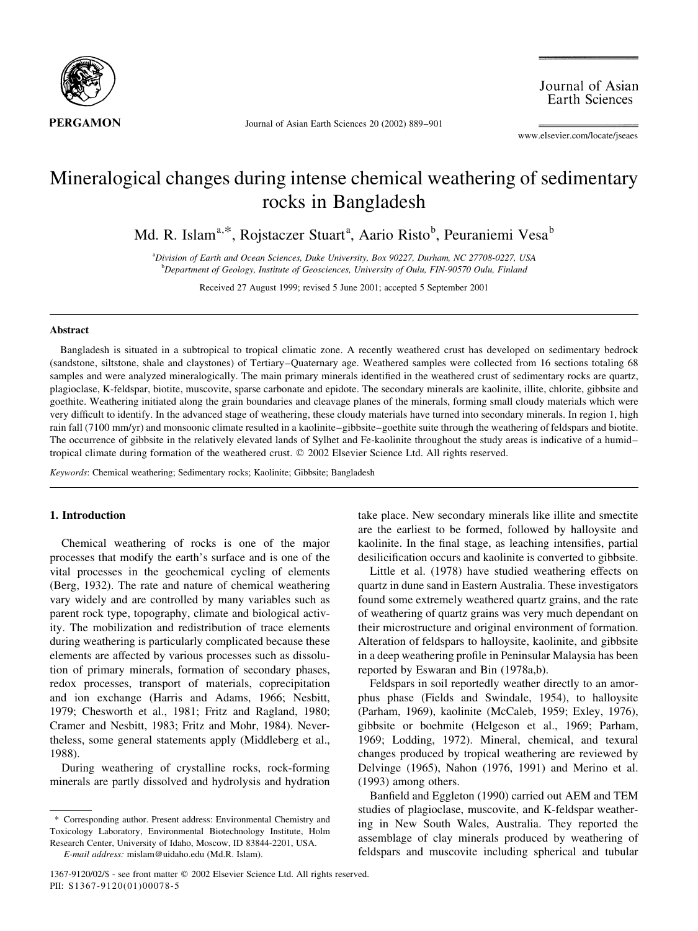

Journal of Asian Earth Sciences 20 (2002) 889-901

Journal of Asian **Earth Sciences** 

www.elsevier.com/locate/jseaes

# Mineralogical changes during intense chemical weathering of sedimentary rocks in Bangladesh

Md. R. Islam<sup>a,\*</sup>, Rojstaczer Stuart<sup>a</sup>, Aario Risto<sup>b</sup>, Peuraniemi Vesa<sup>b</sup>

<sup>a</sup>Division of Earth and Ocean Sciences, Duke University, Box 90227, Durham, NC 27708-0227, USA <sup>b</sup>Department of Geology, Institute of Geosciences, University of Oulu, FIN-90570 Oulu, Finland

Received 27 August 1999; revised 5 June 2001; accepted 5 September 2001

### **Abstract**

Bangladesh is situated in a subtropical to tropical climatic zone. A recently weathered crust has developed on sedimentary bedrock (sandstone, siltstone, shale and claystones) of Tertiary-Quaternary age. Weathered samples were collected from 16 sections totaling 68 samples and were analyzed mineralogically. The main primary minerals identified in the weathered crust of sedimentary rocks are quartz, plagioclase, K-feldspar, biotite, muscovite, sparse carbonate and epidote. The secondary minerals are kaolinite, illite, chlorite, gibbsite and goethite. Weathering initiated along the grain boundaries and cleavage planes of the minerals, forming small cloudy materials which were very difficult to identify. In the advanced stage of weathering, these cloudy materials have turned into secondary minerals. In region 1, high rain fall (7100 mm/yr) and monsoonic climate resulted in a kaolinite-gibbsite-goethite suite through the weathering of feldspars and biotite. The occurrence of gibbsite in the relatively elevated lands of Sylhet and Fe-kaolinite throughout the study areas is indicative of a humidtropical climate during formation of the weathered crust. © 2002 Elsevier Science Ltd. All rights reserved.

Keywords: Chemical weathering; Sedimentary rocks; Kaolinite; Gibbsite; Bangladesh

## 1. Introduction

Chemical weathering of rocks is one of the major processes that modify the earth's surface and is one of the vital processes in the geochemical cycling of elements (Berg, 1932). The rate and nature of chemical weathering vary widely and are controlled by many variables such as parent rock type, topography, climate and biological activity. The mobilization and redistribution of trace elements during weathering is particularly complicated because these elements are affected by various processes such as dissolution of primary minerals, formation of secondary phases, redox processes, transport of materials, coprecipitation and ion exchange (Harris and Adams, 1966; Nesbitt, 1979; Chesworth et al., 1981; Fritz and Ragland, 1980; Cramer and Nesbitt, 1983; Fritz and Mohr, 1984). Nevertheless, some general statements apply (Middleberg et al., 1988).

During weathering of crystalline rocks, rock-forming minerals are partly dissolved and hydrolysis and hydration

\* Corresponding author. Present address: Environmental Chemistry and Toxicology Laboratory, Environmental Biotechnology Institute, Holm Research Center, University of Idaho, Moscow, ID 83844-2201, USA.

E-mail address: mislam@uidaho.edu (Md.R. Islam).

take place. New secondary minerals like illite and smectite are the earliest to be formed, followed by halloysite and kaolinite. In the final stage, as leaching intensifies, partial desilicification occurs and kaolinite is converted to gibbsite.

Little et al. (1978) have studied weathering effects on quartz in dune sand in Eastern Australia. These investigators found some extremely weathered quartz grains, and the rate of weathering of quartz grains was very much dependant on their microstructure and original environment of formation. Alteration of feldspars to halloysite, kaolinite, and gibbsite in a deep weathering profile in Peninsular Malaysia has been reported by Eswaran and Bin (1978a,b).

Feldspars in soil reportedly weather directly to an amorphus phase (Fields and Swindale, 1954), to halloysite (Parham, 1969), kaolinite (McCaleb, 1959; Exley, 1976), gibbsite or boehmite (Helgeson et al., 1969; Parham, 1969; Lodding, 1972). Mineral, chemical, and texural changes produced by tropical weathering are reviewed by Delvinge (1965), Nahon (1976, 1991) and Merino et al.  $(1993)$  among others.

Banfield and Eggleton (1990) carried out AEM and TEM studies of plagioclase, muscovite, and K-feldspar weathering in New South Wales, Australia. They reported the assemblage of clay minerals produced by weathering of feldspars and muscovite including spherical and tubular

<sup>1367-9120/02/\$ -</sup> see front matter © 2002 Elsevier Science Ltd. All rights reserved. PII: S1367-9120(01)00078-5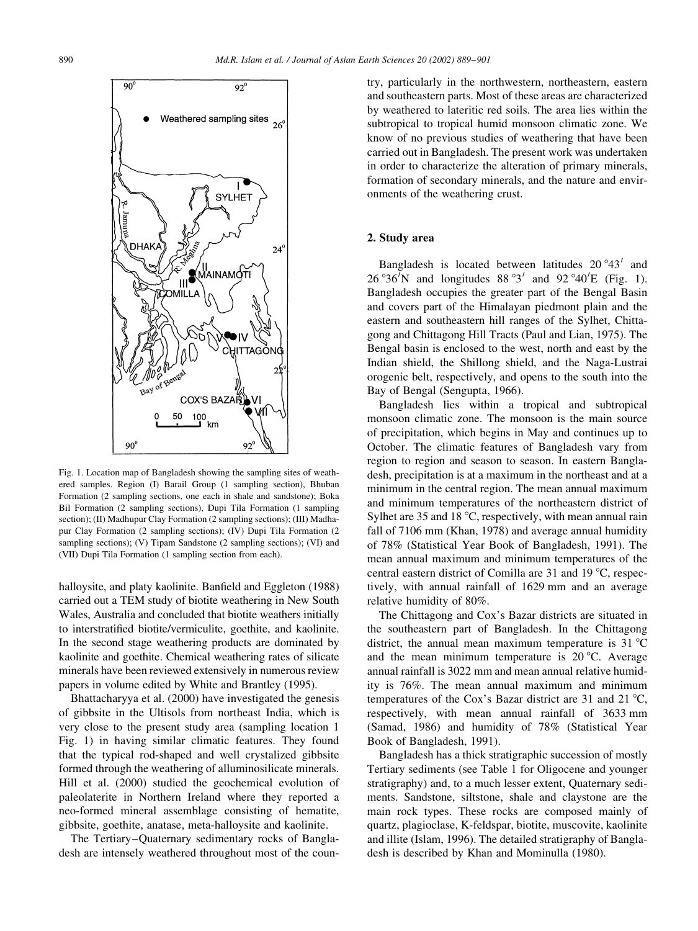

Fig. 1. Location map of Bangladesh showing the sampling sites of weathered samples. Region (I) Barail Group (1 sampling section), Bhuban Formation (2 sampling sections, one each in shale and sandstone); Boka Bil Formation (2 sampling sections), Dupi Tila Formation (1 sampling section): (II) Madhupur Clay Formation (2 sampling sections): (III) Madhapur Clay Formation (2 sampling sections); (IV) Dupi Tila Formation (2 sampling sections); (V) Tipam Sandstone (2 sampling sections); (VI) and (VII) Dupi Tila Formation (1 sampling section from each).

halloysite, and platy kaolinite. Banfield and Eggleton (1988) carried out a TEM study of biotite weathering in New South Wales, Australia and concluded that biotite weathers initially to interstratified biotite/vermiculite, goethite, and kaolinite. In the second stage weathering products are dominated by kaolinite and goethite. Chemical weathering rates of silicate minerals have been reviewed extensively in numerous review papers in volume edited by White and Brantley (1995).

Bhattacharyya et al. (2000) have investigated the genesis of gibbsite in the Ultisols from northeast India, which is very close to the present study area (sampling location 1) Fig. 1) in having similar climatic features. They found that the typical rod-shaped and well crystalized gibbsite formed through the weathering of alluminosilicate minerals. Hill et al. (2000) studied the geochemical evolution of paleolaterite in Northern Ireland where they reported a neo-formed mineral assemblage consisting of hematite, gibbsite, goethite, anatase, meta-halloysite and kaolinite.

The Tertiary-Quaternary sedimentary rocks of Bangladesh are intensely weathered throughout most of the country, particularly in the northwestern, northeastern, eastern and southeastern parts. Most of these areas are characterized by weathered to lateritic red soils. The area lies within the subtropical to tropical humid monsoon climatic zone. We know of no previous studies of weathering that have been carried out in Bangladesh. The present work was undertaken in order to characterize the alteration of primary minerals, formation of secondary minerals, and the nature and environments of the weathering crust.

## 2. Study area

Bangladesh is located between latitudes 20°43' and  $26^{\circ}36^{\prime}$ N and longitudes  $88^{\circ}3'$  and  $92^{\circ}40^{\prime}$ E (Fig. 1). Bangladesh occupies the greater part of the Bengal Basin and covers part of the Himalayan piedmont plain and the eastern and southeastern hill ranges of the Sylhet, Chittagong and Chittagong Hill Tracts (Paul and Lian, 1975). The Bengal basin is enclosed to the west, north and east by the Indian shield, the Shillong shield, and the Naga-Lustrai orogenic belt, respectively, and opens to the south into the Bay of Bengal (Sengupta, 1966).

Bangladesh lies within a tropical and subtropical monsoon climatic zone. The monsoon is the main source of precipitation, which begins in May and continues up to October. The climatic features of Bangladesh vary from region to region and season to season. In eastern Bangladesh, precipitation is at a maximum in the northeast and at a minimum in the central region. The mean annual maximum and minimum temperatures of the northeastern district of Sylhet are 35 and 18 °C, respectively, with mean annual rain fall of 7106 mm (Khan, 1978) and average annual humidity of 78% (Statistical Year Book of Bangladesh, 1991). The mean annual maximum and minimum temperatures of the central eastern district of Comilla are 31 and 19 °C, respectively, with annual rainfall of 1629 mm and an average relative humidity of 80%.

The Chittagong and Cox's Bazar districts are situated in the southeastern part of Bangladesh. In the Chittagong district, the annual mean maximum temperature is  $31^{\circ}$ C and the mean minimum temperature is  $20^{\circ}$ C. Average annual rainfall is 3022 mm and mean annual relative humidity is 76%. The mean annual maximum and minimum temperatures of the Cox's Bazar district are 31 and 21 °C, respectively, with mean annual rainfall of 3633 mm (Samad, 1986) and humidity of 78% (Statistical Year Book of Bangladesh, 1991).

Bangladesh has a thick stratigraphic succession of mostly Tertiary sediments (see Table 1 for Oligocene and vounger stratigraphy) and, to a much lesser extent, Quaternary sediments. Sandstone, siltstone, shale and claystone are the main rock types. These rocks are composed mainly of quartz, plagioclase, K-feldspar, biotite, muscovite, kaolinite and illite (Islam, 1996). The detailed stratigraphy of Bangladesh is described by Khan and Mominulla (1980).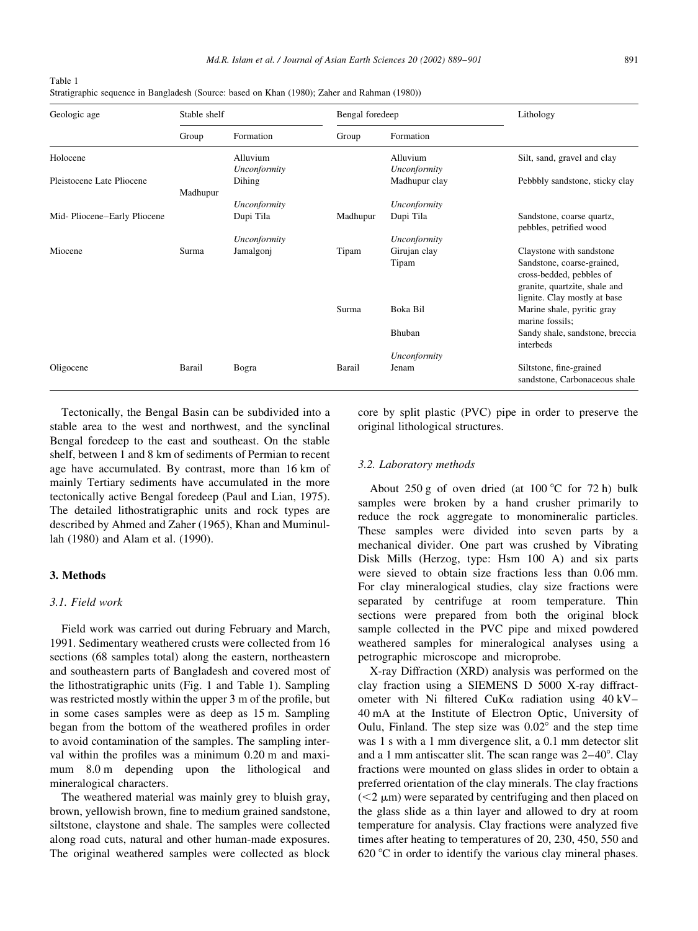#### Table 1 Stratigraphic sequence in Bangladesh (Source: based on Khan (1980); Zaher and Rahman (1980))

| Geologic age                | Stable shelf |              | Bengal foredeep |               | Lithology                       |
|-----------------------------|--------------|--------------|-----------------|---------------|---------------------------------|
|                             | Group        | Formation    | Group           | Formation     |                                 |
| Holocene                    |              | Alluvium     |                 | Alluvium      | Silt, sand, gravel and clay     |
|                             |              | Unconformity |                 | Unconformity  |                                 |
| Pleistocene Late Pliocene   |              | Dihing       |                 | Madhupur clay | Pebbbly sandstone, sticky clay  |
|                             | Madhupur     |              |                 |               |                                 |
|                             |              | Unconformity |                 | Unconformity  |                                 |
| Mid-Pliocene-Early Pliocene |              | Dupi Tila    | Madhupur        | Dupi Tila     | Sandstone, coarse quartz,       |
|                             |              |              |                 |               | pebbles, petrified wood         |
|                             |              | Unconformity |                 | Unconformity  |                                 |
| Miocene                     | Surma        | Jamalgonj    | Tipam           | Girujan clay  | Claystone with sandstone        |
|                             |              |              |                 | Tipam         | Sandstone, coarse-grained,      |
|                             |              |              |                 |               | cross-bedded, pebbles of        |
|                             |              |              |                 |               | granite, quartzite, shale and   |
|                             |              |              |                 |               | lignite. Clay mostly at base    |
|                             |              |              | Surma           | Boka Bil      | Marine shale, pyritic gray      |
|                             |              |              |                 |               | marine fossils:                 |
|                             |              |              |                 | Bhuban        | Sandy shale, sandstone, breccia |
|                             |              |              |                 |               | interbeds                       |
|                             |              |              |                 | Unconformity  |                                 |
|                             |              |              |                 |               |                                 |
| Oligocene                   | Barail       | Bogra        | Barail          | Jenam         | Siltstone, fine-grained         |
|                             |              |              |                 |               | sandstone, Carbonaceous shale   |

Tectonically, the Bengal Basin can be subdivided into a stable area to the west and northwest, and the synclinal Bengal foredeep to the east and southeast. On the stable shelf, between 1 and 8 km of sediments of Permian to recent age have accumulated. By contrast, more than 16 km of mainly Tertiary sediments have accumulated in the more tectonically active Bengal foredeep (Paul and Lian, 1975). The detailed lithostratigraphic units and rock types are described by Ahmed and Zaher (1965), Khan and Muminullah (1980) and Alam et al. (1990).

# 3. Methods

#### 3.1. Field work

Field work was carried out during February and March, 1991. Sedimentary weathered crusts were collected from 16 sections (68 samples total) along the eastern, northeastern and southeastern parts of Bangladesh and covered most of the lithostratigraphic units (Fig. 1 and Table 1). Sampling was restricted mostly within the upper 3 m of the profile, but in some cases samples were as deep as 15 m. Sampling began from the bottom of the weathered profiles in order to avoid contamination of the samples. The sampling interval within the profiles was a minimum 0.20 m and maximum 8.0 m depending upon the lithological and mineralogical characters.

The weathered material was mainly grey to bluish gray, brown, yellowish brown, fine to medium grained sandstone, siltstone, claystone and shale. The samples were collected along road cuts, natural and other human-made exposures. The original weathered samples were collected as block core by split plastic (PVC) pipe in order to preserve the original lithological structures.

## 3.2. Laboratory methods

About 250 g of oven dried (at  $100^{\circ}$ C for 72 h) bulk samples were broken by a hand crusher primarily to reduce the rock aggregate to monomineralic particles. These samples were divided into seven parts by a mechanical divider. One part was crushed by Vibrating Disk Mills (Herzog, type: Hsm 100 A) and six parts were sieved to obtain size fractions less than 0.06 mm. For clay mineralogical studies, clay size fractions were separated by centrifuge at room temperature. Thin sections were prepared from both the original block sample collected in the PVC pipe and mixed powdered weathered samples for mineralogical analyses using a petrographic microscope and microprobe.

X-ray Diffraction (XRD) analysis was performed on the clay fraction using a SIEMENS D 5000 X-ray diffractometer with Ni filtered CuKa radiation using 40 kV-40 mA at the Institute of Electron Optic, University of Oulu, Finland. The step size was  $0.02^{\circ}$  and the step time was 1 s with a 1 mm divergence slit, a 0.1 mm detector slit and a 1 mm antiscatter slit. The scan range was  $2-40^{\circ}$ . Clay fractions were mounted on glass slides in order to obtain a preferred orientation of the clay minerals. The clay fractions  $(< 2 \mu m)$  were separated by centrifuging and then placed on the glass slide as a thin layer and allowed to dry at room temperature for analysis. Clay fractions were analyzed five times after heating to temperatures of 20, 230, 450, 550 and  $620^{\circ}$ C in order to identify the various clay mineral phases.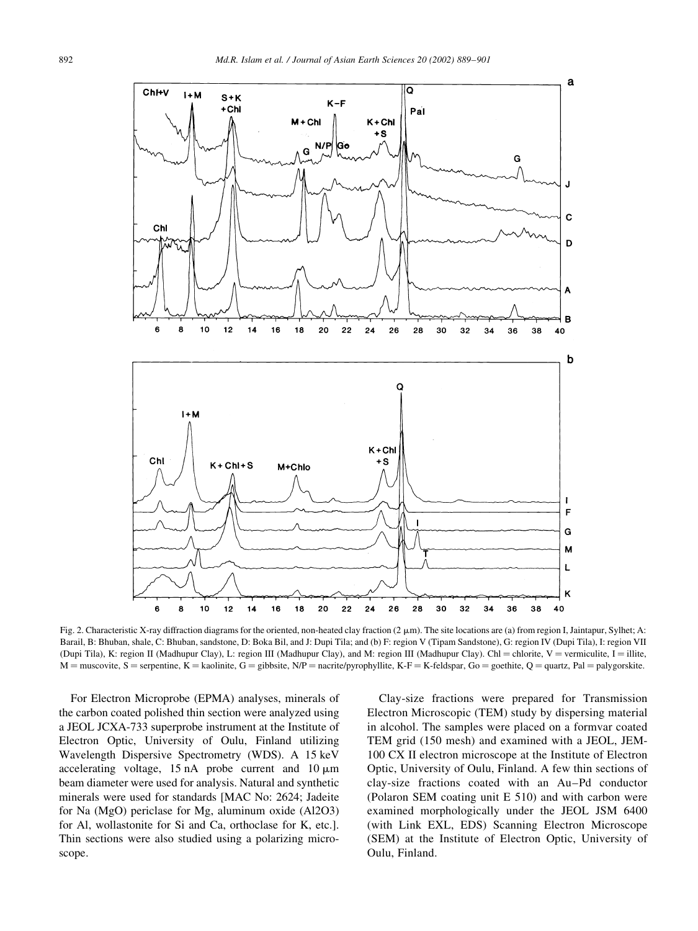

Fig. 2. Characteristic X-ray diffraction diagrams for the oriented, non-heated clay fraction (2  $\mu$ m). The site locations are (a) from region I, Jaintapur, Sylhet; A: Barail, B: Bhuban, shale, C: Bhuban, sandstone, D: Boka Bil, and J: Dupi Tila; and (b) F: region V (Tipam Sandstone), G: region IV (Dupi Tila), I: region VII (Dupi Tila), K: region II (Madhupur Clay), L: region III (Madhupur Clay), and M: region III (Madhupur Clay). Chl = chlorite, V = vermiculite, I = illite,  $M =$  muscovite, S = serpentine, K = kaolinite, G = gibbsite, N/P = nacrite/pyrophyllite, K-F = K-feldspar, Go = goethite, Q = quartz, Pal = palygorskite.

For Electron Microprobe (EPMA) analyses, minerals of the carbon coated polished thin section were analyzed using a JEOL JCXA-733 superprobe instrument at the Institute of Electron Optic, University of Oulu, Finland utilizing Wavelength Dispersive Spectrometry (WDS). A 15 keV accelerating voltage, 15 nA probe current and  $10 \mu m$ beam diameter were used for analysis. Natural and synthetic minerals were used for standards [MAC No: 2624; Jadeite for Na (MgO) periclase for Mg, aluminum oxide (Al2O3) for Al, wollastonite for Si and Ca, orthoclase for K, etc.]. Thin sections were also studied using a polarizing microscope.

Clay-size fractions were prepared for Transmission Electron Microscopic (TEM) study by dispersing material in alcohol. The samples were placed on a formvar coated TEM grid (150 mesh) and examined with a JEOL, JEM-100 CX II electron microscope at the Institute of Electron Optic, University of Oulu, Finland. A few thin sections of clay-size fractions coated with an Au-Pd conductor (Polaron SEM coating unit E 510) and with carbon were examined morphologically under the JEOL JSM 6400 (with Link EXL, EDS) Scanning Electron Microscope (SEM) at the Institute of Electron Optic, University of Oulu, Finland.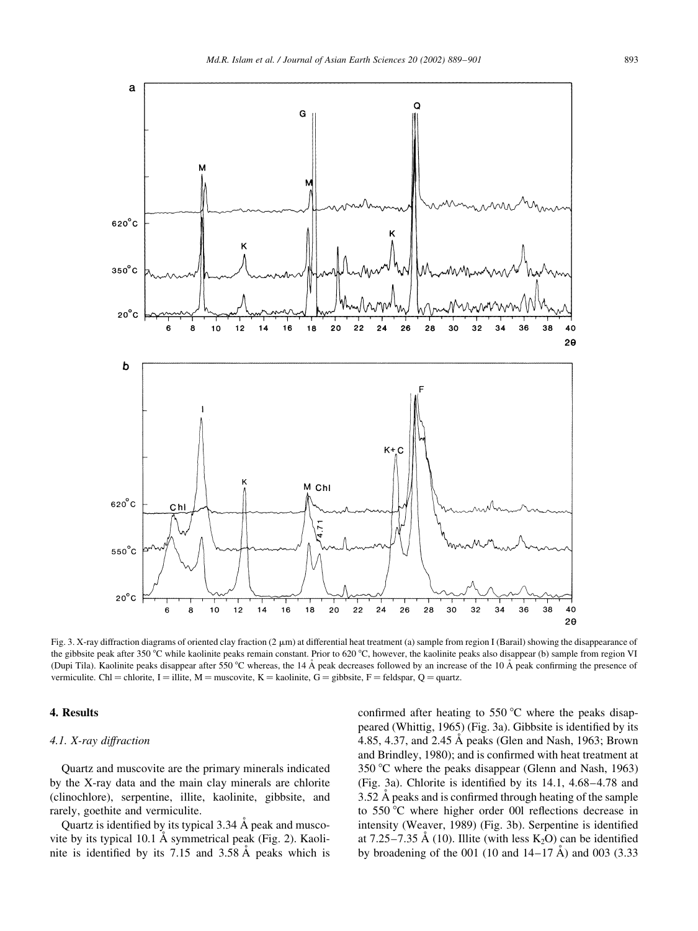

Fig. 3. X-ray diffraction diagrams of oriented clay fraction  $(2 \mu m)$  at differential heat treatment (a) sample from region I (Barail) showing the disappearance of the gibbsite peak after 350 °C while kaolinite peaks remain constant. Prior to 620 °C, however, the kaolinite peaks also disappear (b) sample from region VI (Dupi Tila). Kaolinite peaks disappear after 550 °C whereas, the 14 Å peak decreases followed by an increase of the 10 Å peak confirming the presence of vermiculite. Chl = chlorite, I = illite, M = muscovite, K = kaolinite, G = gibbsite, F = feldspar, Q = quartz.

## 4. Results

#### 4.1. X-ray diffraction

Quartz and muscovite are the primary minerals indicated by the X-ray data and the main clay minerals are chlorite (clinochlore), serpentine, illite, kaolinite, gibbsite, and rarely, goethite and vermiculite.

Quartz is identified by its typical 3.34 Å peak and muscovite by its typical 10.1 Å symmetrical peak (Fig. 2). Kaolinite is identified by its 7.15 and 3.58 Å peaks which is confirmed after heating to 550  $\degree$ C where the peaks disappeared (Whittig, 1965) (Fig. 3a). Gibbsite is identified by its 4.85, 4.37, and 2.45 Å peaks (Glen and Nash, 1963; Brown and Brindley, 1980); and is confirmed with heat treatment at 350 °C where the peaks disappear (Glenn and Nash, 1963) (Fig. 3a). Chlorite is identified by its 14.1, 4.68–4.78 and 3.52 Å peaks and is confirmed through heating of the sample to 550 °C where higher order 001 reflections decrease in intensity (Weaver, 1989) (Fig. 3b). Serpentine is identified at 7.25–7.35 Å (10). Illite (with less  $K_2O$ ) can be identified by broadening of the 001 (10 and  $14-17 \text{ Å}$ ) and 003 (3.33)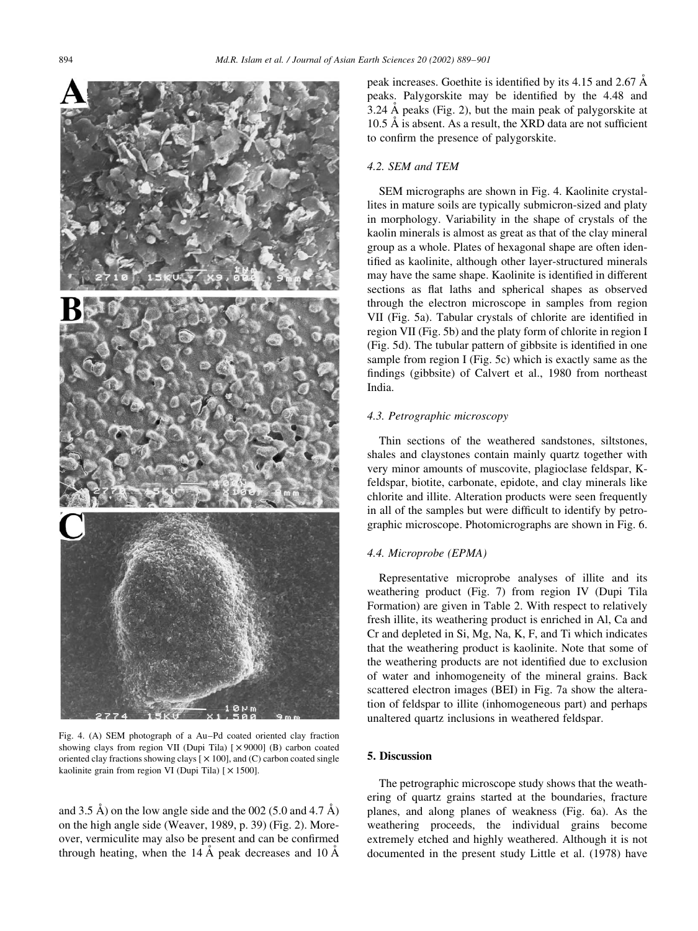

Fig. 4. (A) SEM photograph of a Au–Pd coated oriented clay fraction showing clays from region VII (Dupi Tila) [× 9000] (B) carbon coated oriented clay fractions showing clays [ $\times$  100], and (C) carbon coated single kaolinite grain from region VI (Dupi Tila) [ $\times$  1500].

and 3.5  $\AA$ ) on the low angle side and the 002 (5.0 and 4.7  $\AA$ ) on the high angle side (Weaver, 1989, p. 39) (Fig. 2). Moreover, vermiculite may also be present and can be confirmed through heating, when the 14  $\AA$  peak decreases and 10  $\AA$ 

peak increases. Goethite is identified by its 4.15 and 2.67 Å peaks. Palygorskite may be identified by the 4.48 and 3.24 Å peaks (Fig. 2), but the main peak of palygorskite at 10.5  $\AA$  is absent. As a result, the XRD data are not sufficient to confirm the presence of palygorskite.

#### 4.2. SEM and TEM

SEM micrographs are shown in Fig. 4. Kaolinite crystallites in mature soils are typically submicron-sized and platy in morphology. Variability in the shape of crystals of the kaolin minerals is almost as great as that of the clay mineral group as a whole. Plates of hexagonal shape are often identified as kaolinite, although other layer-structured minerals may have the same shape. Kaolinite is identified in different sections as flat laths and spherical shapes as observed through the electron microscope in samples from region VII (Fig. 5a). Tabular crystals of chlorite are identified in region VII (Fig. 5b) and the platy form of chlorite in region I (Fig. 5d). The tubular pattern of gibbsite is identified in one sample from region I (Fig. 5c) which is exactly same as the findings (gibbsite) of Calvert et al., 1980 from northeast India.

## 4.3. Petrographic microscopy

Thin sections of the weathered sandstones, siltstones, shales and claystones contain mainly quartz together with very minor amounts of muscovite, plagioclase feldspar, Kfeldspar, biotite, carbonate, epidote, and clay minerals like chlorite and illite. Alteration products were seen frequently in all of the samples but were difficult to identify by petrographic microscope. Photomicrographs are shown in Fig. 6.

## 4.4. Microprobe (EPMA)

Representative microprobe analyses of illite and its weathering product (Fig. 7) from region IV (Dupi Tila Formation) are given in Table 2. With respect to relatively fresh illite, its weathering product is enriched in Al, Ca and Cr and depleted in Si, Mg, Na, K, F, and Ti which indicates that the weathering product is kaolinite. Note that some of the weathering products are not identified due to exclusion of water and inhomogeneity of the mineral grains. Back scattered electron images (BEI) in Fig. 7a show the alteration of feldspar to illite (inhomogeneous part) and perhaps unaltered quartz inclusions in weathered feldspar.

#### 5. Discussion

The petrographic microscope study shows that the weathering of quartz grains started at the boundaries, fracture planes, and along planes of weakness (Fig. 6a). As the weathering proceeds, the individual grains become extremely etched and highly weathered. Although it is not documented in the present study Little et al. (1978) have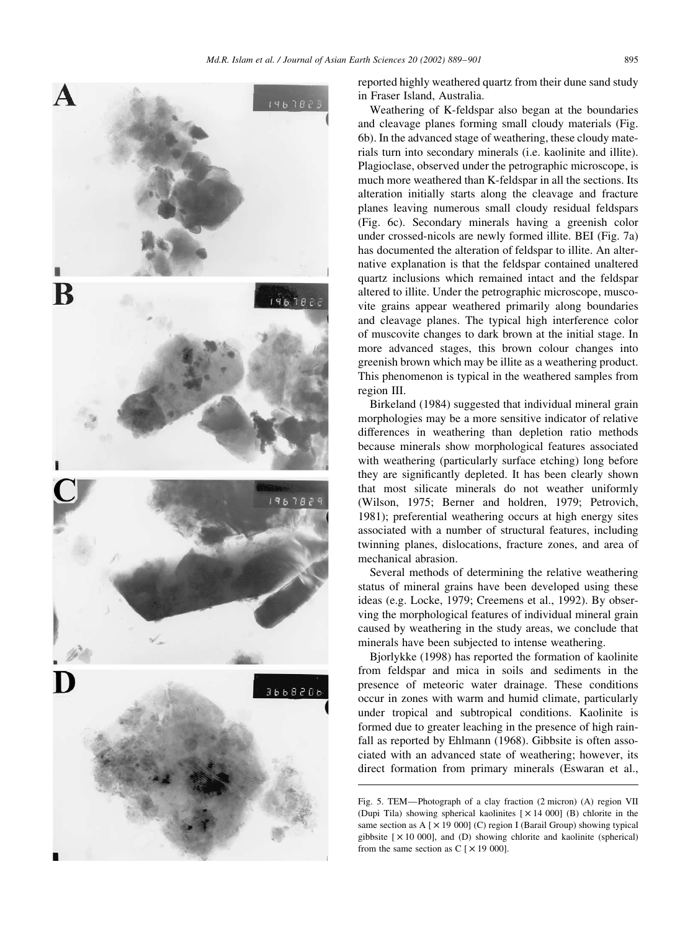

reported highly weathered quartz from their dune sand study in Fraser Island, Australia.

Weathering of K-feldspar also began at the boundaries and cleavage planes forming small cloudy materials (Fig. 6b). In the advanced stage of weathering, these cloudy materials turn into secondary minerals (i.e. kaolinite and illite). Plagioclase, observed under the petrographic microscope, is much more weathered than K-feldspar in all the sections. Its alteration initially starts along the cleavage and fracture planes leaving numerous small cloudy residual feldspars (Fig. 6c). Secondary minerals having a greenish color under crossed-nicols are newly formed illite. BEI (Fig. 7a) has documented the alteration of feldspar to illite. An alternative explanation is that the feldspar contained unaltered quartz inclusions which remained intact and the feldspar altered to illite. Under the petrographic microscope, muscovite grains appear weathered primarily along boundaries and cleavage planes. The typical high interference color of muscovite changes to dark brown at the initial stage. In more advanced stages, this brown colour changes into greenish brown which may be illite as a weathering product. This phenomenon is typical in the weathered samples from region III.

Birkeland (1984) suggested that individual mineral grain morphologies may be a more sensitive indicator of relative differences in weathering than depletion ratio methods because minerals show morphological features associated with weathering (particularly surface etching) long before they are significantly depleted. It has been clearly shown that most silicate minerals do not weather uniformly (Wilson, 1975; Berner and holdren, 1979; Petrovich, 1981); preferential weathering occurs at high energy sites associated with a number of structural features, including twinning planes, dislocations, fracture zones, and area of mechanical abrasion.

Several methods of determining the relative weathering status of mineral grains have been developed using these ideas (e.g. Locke, 1979; Creemens et al., 1992). By observing the morphological features of individual mineral grain caused by weathering in the study areas, we conclude that minerals have been subjected to intense weathering.

Bjorlykke (1998) has reported the formation of kaolinite from feldspar and mica in soils and sediments in the presence of meteoric water drainage. These conditions occur in zones with warm and humid climate, particularly under tropical and subtropical conditions. Kaolinite is formed due to greater leaching in the presence of high rainfall as reported by Ehlmann (1968). Gibbsite is often associated with an advanced state of weathering; however, its direct formation from primary minerals (Eswaran et al.,

Fig. 5. TEM-Photograph of a clay fraction (2 micron) (A) region VII (Dupi Tila) showing spherical kaolinites [× 14 000] (B) chlorite in the same section as A  $[ \times 19\ 000]$  (C) region I (Barail Group) showing typical gibbsite  $\lceil \times 10000 \rceil$ , and (D) showing chlorite and kaolinite (spherical) from the same section as C  $\lceil \times 19000 \rceil$ .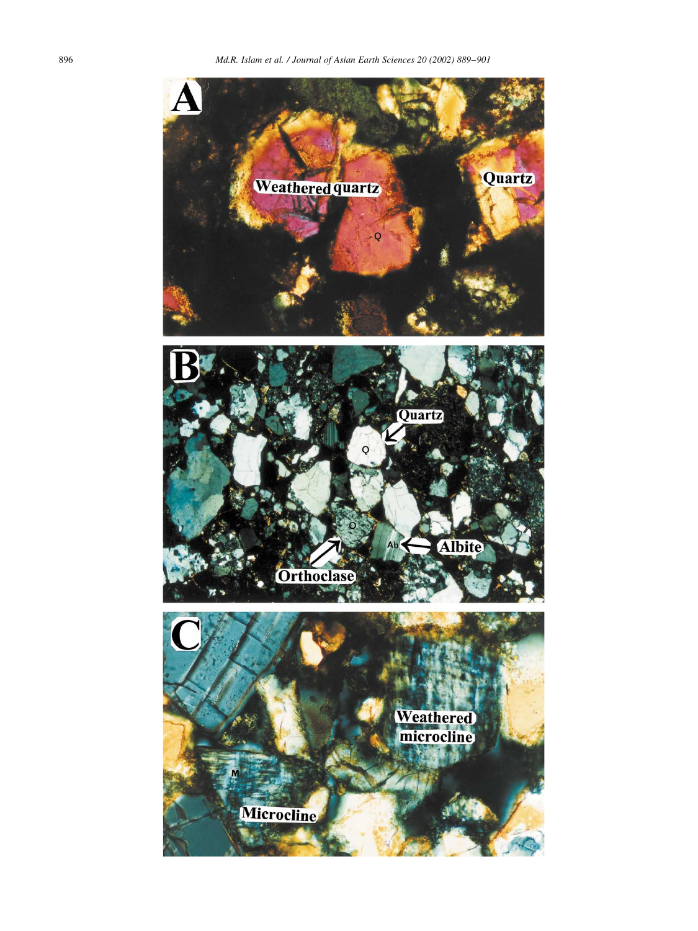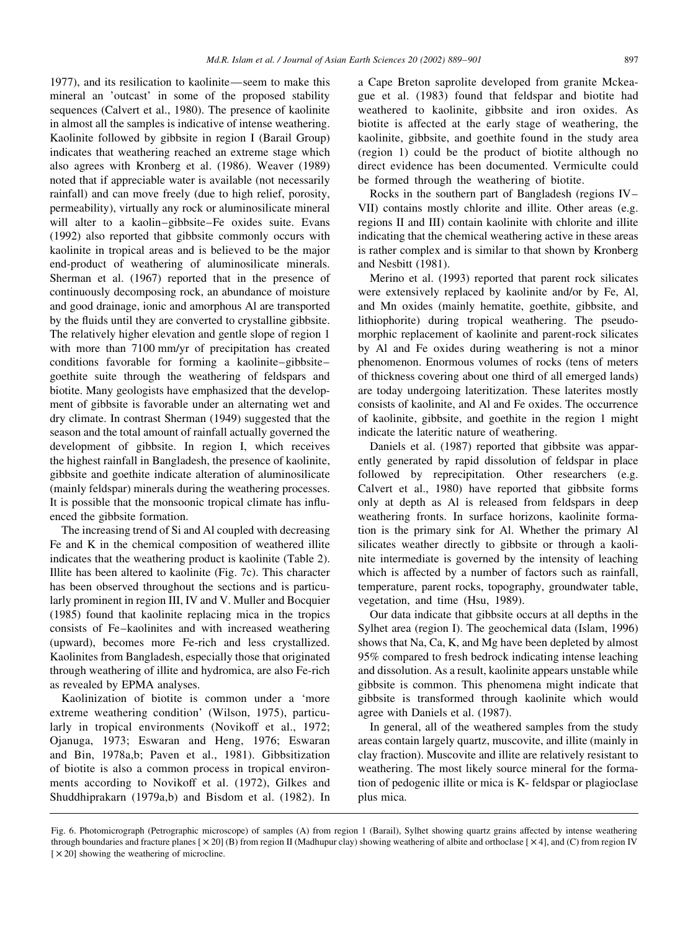897

1977), and its resilication to kaolinite—seem to make this mineral an 'outcast' in some of the proposed stability sequences (Calvert et al., 1980). The presence of kaolinite in almost all the samples is indicative of intense weathering. Kaolinite followed by gibbsite in region I (Barail Group) indicates that weathering reached an extreme stage which also agrees with Kronberg et al. (1986). Weaver (1989) noted that if appreciable water is available (not necessarily rainfall) and can move freely (due to high relief, porosity, permeability), virtually any rock or aluminosilicate mineral will alter to a kaolin-gibbsite-Fe oxides suite. Evans (1992) also reported that gibbsite commonly occurs with kaolinite in tropical areas and is believed to be the major end-product of weathering of aluminosilicate minerals. Sherman et al. (1967) reported that in the presence of continuously decomposing rock, an abundance of moisture and good drainage, ionic and amorphous Al are transported by the fluids until they are converted to crystalline gibbsite. The relatively higher elevation and gentle slope of region 1 with more than 7100 mm/yr of precipitation has created conditions favorable for forming a kaolinite-gibbsitegoethite suite through the weathering of feldspars and biotite. Many geologists have emphasized that the development of gibbsite is favorable under an alternating wet and dry climate. In contrast Sherman (1949) suggested that the season and the total amount of rainfall actually governed the development of gibbsite. In region I, which receives the highest rainfall in Bangladesh, the presence of kaolinite, gibbsite and goethite indicate alteration of aluminosilicate (mainly feldspar) minerals during the weathering processes. It is possible that the monsoonic tropical climate has influenced the gibbsite formation.

The increasing trend of Si and Al coupled with decreasing Fe and K in the chemical composition of weathered illite indicates that the weathering product is kaolinite (Table 2). Illite has been altered to kaolinite (Fig. 7c). This character has been observed throughout the sections and is particularly prominent in region III, IV and V. Muller and Bocquier (1985) found that kaolinite replacing mica in the tropics consists of Fe-kaolinites and with increased weathering (upward), becomes more Fe-rich and less crystallized. Kaolinites from Bangladesh, especially those that originated through weathering of illite and hydromica, are also Fe-rich as revealed by EPMA analyses.

Kaolinization of biotite is common under a 'more extreme weathering condition' (Wilson, 1975), particularly in tropical environments (Novikoff et al., 1972; Ojanuga, 1973; Eswaran and Heng, 1976; Eswaran and Bin, 1978a,b; Paven et al., 1981). Gibbsitization of biotite is also a common process in tropical environments according to Novikoff et al. (1972), Gilkes and Shuddhiprakarn (1979a,b) and Bisdom et al. (1982). In

a Cape Breton saprolite developed from granite Mckeague et al. (1983) found that feldspar and biotite had weathered to kaolinite, gibbsite and iron oxides. As biotite is affected at the early stage of weathering, the kaolinite, gibbsite, and goethite found in the study area (region 1) could be the product of biotite although no direct evidence has been documented. Vermiculte could be formed through the weathering of biotite.

Rocks in the southern part of Bangladesh (regions IV-VII) contains mostly chlorite and illite. Other areas (e.g. regions II and III) contain kaolinite with chlorite and illite indicating that the chemical weathering active in these areas is rather complex and is similar to that shown by Kronberg and Nesbitt (1981).

Merino et al. (1993) reported that parent rock silicates were extensively replaced by kaolinite and/or by Fe, Al, and Mn oxides (mainly hematite, goethite, gibbsite, and lithiophorite) during tropical weathering. The pseudomorphic replacement of kaolinite and parent-rock silicates by Al and Fe oxides during weathering is not a minor phenomenon. Enormous volumes of rocks (tens of meters of thickness covering about one third of all emerged lands) are today undergoing lateritization. These laterites mostly consists of kaolinite, and Al and Fe oxides. The occurrence of kaolinite, gibbsite, and goethite in the region 1 might indicate the lateritic nature of weathering.

Daniels et al. (1987) reported that gibbsite was apparently generated by rapid dissolution of feldspar in place followed by reprecipitation. Other researchers (e.g. Calvert et al., 1980) have reported that gibbsite forms only at depth as Al is released from feldspars in deep weathering fronts. In surface horizons, kaolinite formation is the primary sink for Al. Whether the primary Al silicates weather directly to gibbsite or through a kaolinite intermediate is governed by the intensity of leaching which is affected by a number of factors such as rainfall, temperature, parent rocks, topography, groundwater table, vegetation, and time (Hsu, 1989).

Our data indicate that gibbsite occurs at all depths in the Sylhet area (region I). The geochemical data (Islam, 1996) shows that Na, Ca, K, and Mg have been depleted by almost 95% compared to fresh bedrock indicating intense leaching and dissolution. As a result, kaolinite appears unstable while gibbsite is common. This phenomena might indicate that gibbsite is transformed through kaolinite which would agree with Daniels et al. (1987).

In general, all of the weathered samples from the study areas contain largely quartz, muscovite, and illite (mainly in clay fraction). Muscovite and illite are relatively resistant to weathering. The most likely source mineral for the formation of pedogenic illite or mica is K-feldspar or plagioclase plus mica.

Fig. 6. Photomicrograph (Petrographic microscope) of samples (A) from region 1 (Barail), Sylhet showing quartz grains affected by intense weathering through boundaries and fracture planes  $\left[\times 20\right]$  (B) from region II (Madhupur clay) showing weathering of albite and orthoclase  $\left[\times 4\right]$ , and (C) from region IV  $[\times 20]$  showing the weathering of microcline.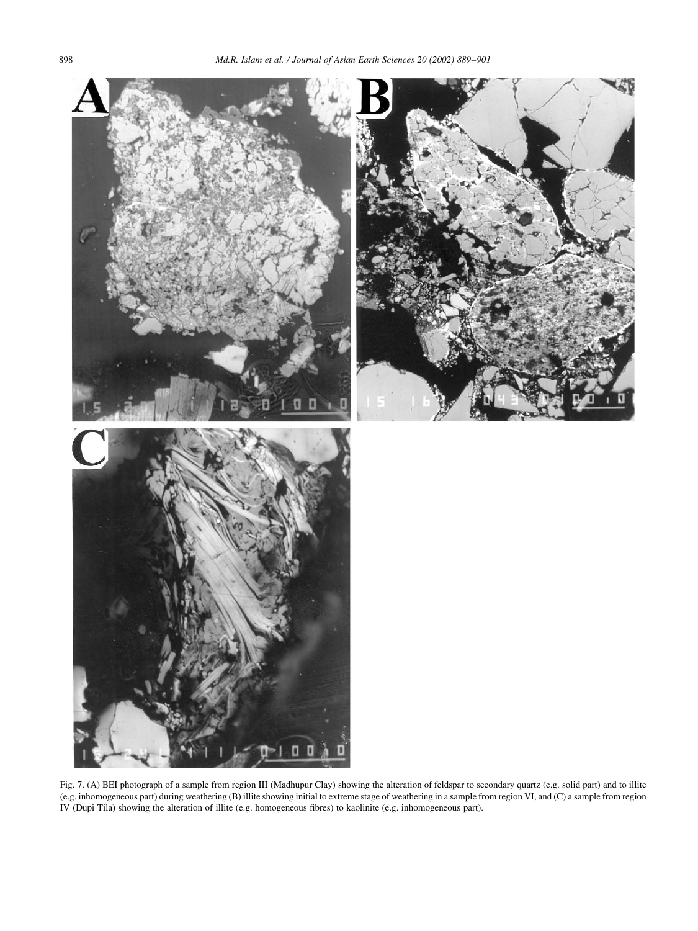

Fig. 7. (A) BEI photograph of a sample from region III (Madhupur Clay) showing the alteration of feldspar to secondary quartz (e.g. solid part) and to illite (e.g. inhomogeneous part) during weathering (B) illite showing initial to extreme stage of weathering in a sample from region VI, and (C) a sample from region IV (Dupi Tila) showing the alteration of illite (e.g. homogeneous fibres) to kaolinite (e.g. inhomogeneous part).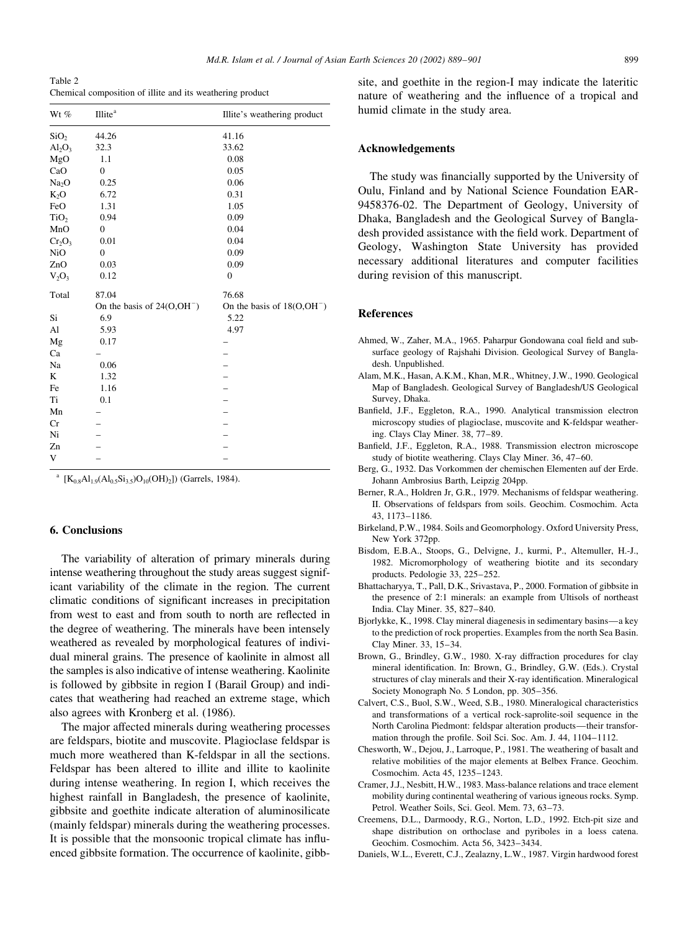Table 2 Chemical composition of illite and its weathering product

| Wt $%$                         | Illite <sup>a</sup>          | Illite's weathering product  |
|--------------------------------|------------------------------|------------------------------|
| SiO <sub>2</sub>               | 44.26                        | 41.16                        |
| $Al_2O_3$                      | 32.3                         | 33.62                        |
| MgO                            | 1.1                          | 0.08                         |
| CaO                            | $\boldsymbol{0}$             | 0.05                         |
| Na <sub>2</sub> O              | 0.25                         | 0.06                         |
| $K_2O$                         | 6.72                         | 0.31                         |
| FeO                            | 1.31                         | 1.05                         |
| TiO <sub>2</sub>               | 0.94                         | 0.09                         |
| MnO                            | $\boldsymbol{0}$             | 0.04                         |
| Cr <sub>2</sub> O <sub>3</sub> | 0.01                         | 0.04                         |
| NiO                            | $\boldsymbol{0}$             | 0.09                         |
| ZnO                            | 0.03                         | 0.09                         |
| $V_2O_3$                       | 0.12                         | $\overline{0}$               |
| Total                          | 87.04                        | 76.68                        |
|                                | On the basis of $24(O,OH^-)$ | On the basis of $18(O,OH^-)$ |
| Si                             | 6.9                          | 5.22                         |
| Al                             | 5.93                         | 4.97                         |
| Mg                             | 0.17                         |                              |
| Ca                             |                              |                              |
| Na                             | 0.06                         |                              |
| K                              | 1.32                         |                              |
| Fe                             | 1.16                         |                              |
| Ti                             | 0.1                          |                              |
| Mn                             |                              |                              |
| Cr                             |                              |                              |
| Ni                             |                              |                              |
| Zn                             |                              |                              |
| V                              |                              |                              |

<sup>a</sup> [K<sub>0.8</sub>Al<sub>1.9</sub>(Al<sub>0.5</sub>Si<sub>3.5</sub>)O<sub>10</sub>(OH)<sub>2</sub>]) (Garrels, 1984).

#### 6. Conclusions

The variability of alteration of primary minerals during intense weathering throughout the study areas suggest significant variability of the climate in the region. The current climatic conditions of significant increases in precipitation from west to east and from south to north are reflected in the degree of weathering. The minerals have been intensely weathered as revealed by morphological features of individual mineral grains. The presence of kaolinite in almost all the samples is also indicative of intense weathering. Kaolinite is followed by gibbsite in region I (Barail Group) and indicates that weathering had reached an extreme stage, which also agrees with Kronberg et al. (1986).

The major affected minerals during weathering processes are feldspars, biotite and muscovite. Plagioclase feldspar is much more weathered than K-feldspar in all the sections. Feldspar has been altered to illite and illite to kaolinite during intense weathering. In region I, which receives the highest rainfall in Bangladesh, the presence of kaolinite, gibbsite and goethite indicate alteration of aluminosilicate (mainly feldspar) minerals during the weathering processes. It is possible that the monsoonic tropical climate has influenced gibbsite formation. The occurrence of kaolinite, gibbsite, and goethite in the region-I may indicate the lateritic nature of weathering and the influence of a tropical and humid climate in the study area.

#### Acknowledgements

The study was financially supported by the University of Oulu, Finland and by National Science Foundation EAR-9458376-02. The Department of Geology, University of Dhaka, Bangladesh and the Geological Survey of Bangladesh provided assistance with the field work. Department of Geology, Washington State University has provided necessary additional literatures and computer facilities during revision of this manuscript.

#### **References**

- Ahmed, W., Zaher, M.A., 1965. Paharpur Gondowana coal field and subsurface geology of Rajshahi Division. Geological Survey of Bangladesh. Unpublished.
- Alam, M.K., Hasan, A.K.M., Khan, M.R., Whitney, J.W., 1990. Geological Map of Bangladesh. Geological Survey of Bangladesh/US Geological Survey, Dhaka.
- Banfield, J.F., Eggleton, R.A., 1990. Analytical transmission electron microscopy studies of plagioclase, muscovite and K-feldspar weathering. Clays Clay Miner. 38, 77-89.
- Banfield, J.F., Eggleton, R.A., 1988. Transmission electron microscope study of biotite weathering. Clays Clay Miner. 36, 47–60.
- Berg, G., 1932. Das Vorkommen der chemischen Elementen auf der Erde. Johann Ambrosius Barth, Leipzig 204pp.
- Berner, R.A., Holdren Jr, G.R., 1979. Mechanisms of feldspar weathering. II. Observations of feldspars from soils. Geochim. Cosmochim. Acta 43 1173-1186
- Birkeland, P.W., 1984. Soils and Geomorphology. Oxford University Press, New York 372pp.
- Bisdom, E.B.A., Stoops, G., Delvigne, J., kurmi, P., Altemuller, H.-J., 1982. Micromorphology of weathering biotite and its secondary products. Pedologie 33, 225-252.
- Bhattacharyya, T., Pall, D.K., Srivastava, P., 2000. Formation of gibbsite in the presence of 2:1 minerals: an example from Ultisols of northeast India. Clay Miner. 35, 827-840.
- Bjorlykke, K., 1998. Clay mineral diagenesis in sedimentary basins—a key to the prediction of rock properties. Examples from the north Sea Basin. Clay Miner. 33, 15-34.
- Brown, G., Brindley, G.W., 1980. X-ray diffraction procedures for clay mineral identification. In: Brown, G., Brindley, G.W. (Eds.). Crystal structures of clay minerals and their X-ray identification. Mineralogical Society Monograph No. 5 London, pp. 305-356.
- Calvert, C.S., Buol, S.W., Weed, S.B., 1980. Mineralogical characteristics and transformations of a vertical rock-saprolite-soil sequence in the North Carolina Piedmont: feldspar alteration products-their transformation through the profile. Soil Sci. Soc. Am. J. 44, 1104-1112.
- Chesworth, W., Dejou, J., Larroque, P., 1981. The weathering of basalt and relative mobilities of the major elements at Belbex France. Geochim. Cosmochim. Acta 45, 1235-1243.
- Cramer, J.J., Nesbitt, H.W., 1983. Mass-balance relations and trace element mobility during continental weathering of various igneous rocks. Symp. Petrol. Weather Soils, Sci. Geol. Mem. 73, 63-73.
- Creemens, D.L., Darmoody, R.G., Norton, L.D., 1992. Etch-pit size and shape distribution on orthoclase and pyriboles in a loess catena. Geochim. Cosmochim. Acta 56, 3423-3434.
- Daniels, W.L., Everett, C.J., Zealazny, L.W., 1987. Virgin hardwood forest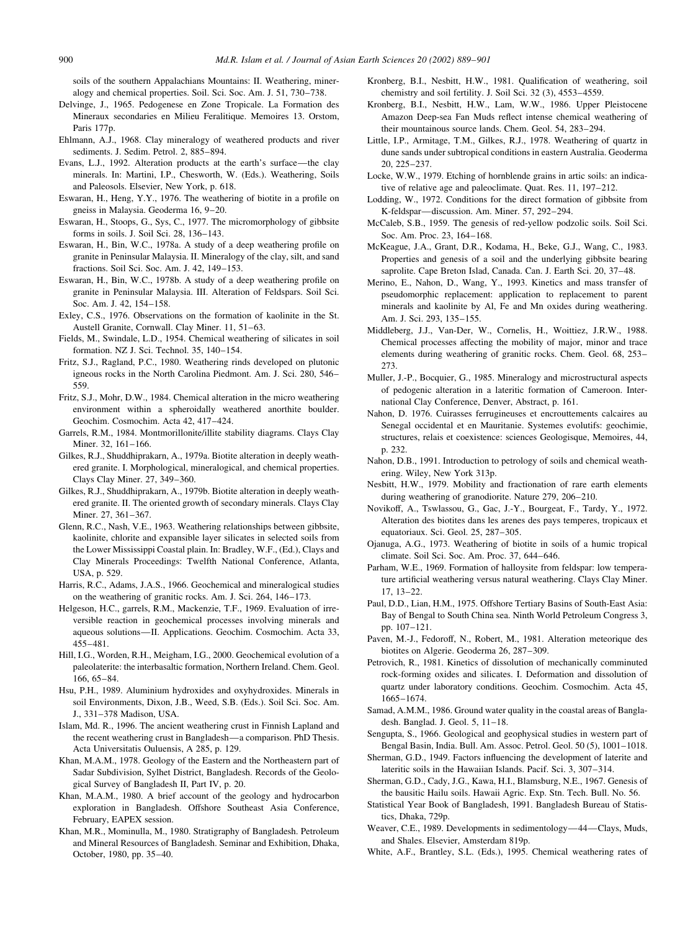soils of the southern Appalachians Mountains: II. Weathering, mineralogy and chemical properties. Soil. Sci. Soc. Am. J. 51, 730-738.

- Delvinge, J., 1965. Pedogenese en Zone Tropicale. La Formation des Mineraux secondaries en Milieu Feralitique. Memoires 13. Orstom, Paris 177p.
- Ehlmann, A.J., 1968. Clay mineralogy of weathered products and river sediments. J. Sedim. Petrol. 2, 885-894.
- Evans, L.J., 1992. Alteration products at the earth's surface—the clay minerals. In: Martini, I.P., Chesworth, W. (Eds.). Weathering, Soils and Paleosols. Elsevier, New York, p. 618.
- Eswaran, H., Heng, Y.Y., 1976. The weathering of biotite in a profile on gneiss in Malaysia. Geoderma 16, 9-20.
- Eswaran, H., Stoops, G., Sys, C., 1977. The micromorphology of gibbsite forms in soils. J. Soil Sci. 28, 136-143.
- Eswaran, H., Bin, W.C., 1978a. A study of a deep weathering profile on granite in Peninsular Malaysia. II. Mineralogy of the clay, silt, and sand fractions. Soil Sci. Soc. Am. J. 42, 149-153.
- Eswaran, H., Bin, W.C., 1978b. A study of a deep weathering profile on granite in Peninsular Malaysia. III. Alteration of Feldspars. Soil Sci. Soc. Am. J. 42, 154-158.
- Exley, C.S., 1976. Observations on the formation of kaolinite in the St. Austell Granite, Cornwall. Clay Miner. 11, 51-63.
- Fields, M., Swindale, L.D., 1954. Chemical weathering of silicates in soil formation. NZ J. Sci. Technol. 35, 140-154.
- Fritz, S.J., Ragland, P.C., 1980. Weathering rinds developed on plutonic igneous rocks in the North Carolina Piedmont. Am. J. Sci. 280, 546-559.
- Fritz, S.J., Mohr, D.W., 1984. Chemical alteration in the micro weathering environment within a spheroidally weathered anorthite boulder. Geochim. Cosmochim. Acta 42, 417-424.
- Garrels, R.M., 1984. Montmorillonite/illite stability diagrams. Clays Clay Miner, 32, 161-166.
- Gilkes, R.J., Shuddhiprakarn, A., 1979a. Biotite alteration in deeply weathered granite. I. Morphological, mineralogical, and chemical properties. Clays Clay Miner. 27, 349-360.
- Gilkes, R.J., Shuddhiprakarn, A., 1979b. Biotite alteration in deeply weathered granite. II. The oriented growth of secondary minerals. Clays Clay Miner. 27, 361-367.
- Glenn, R.C., Nash, V.E., 1963. Weathering relationships between gibbsite, kaolinite, chlorite and expansible layer silicates in selected soils from the Lower Mississippi Coastal plain. In: Bradley, W.F., (Ed.), Clays and Clay Minerals Proceedings: Twelfth National Conference, Atlanta, USA, p. 529.
- Harris, R.C., Adams, J.A.S., 1966. Geochemical and mineralogical studies on the weathering of granitic rocks. Am. J. Sci. 264, 146–173.
- Helgeson, H.C., garrels, R.M., Mackenzie, T.F., 1969. Evaluation of irreversible reaction in geochemical processes involving minerals and aqueous solutions-II. Applications. Geochim. Cosmochim. Acta 33,  $455 - 481.$
- Hill, I.G., Worden, R.H., Meigham, I.G., 2000. Geochemical evolution of a paleolaterite: the interbasaltic formation, Northern Ireland. Chem. Geol.  $166, 65 - 84.$
- Hsu, P.H., 1989. Aluminium hydroxides and oxyhydroxides. Minerals in soil Environments, Dixon, J.B., Weed, S.B. (Eds.). Soil Sci. Soc. Am. J., 331-378 Madison, USA.
- Islam, Md. R., 1996. The ancient weathering crust in Finnish Lapland and the recent weathering crust in Bangladesh—a comparison. PhD Thesis. Acta Universitatis Ouluensis, A 285, p. 129.
- Khan, M.A.M., 1978. Geology of the Eastern and the Northeastern part of Sadar Subdivision, Sylhet District, Bangladesh. Records of the Geological Survey of Bangladesh II, Part IV, p. 20.
- Khan, M.A.M., 1980. A brief account of the geology and hydrocarbon exploration in Bangladesh. Offshore Southeast Asia Conference. February, EAPEX session.
- Khan, M.R., Mominulla, M., 1980. Stratigraphy of Bangladesh. Petroleum and Mineral Resources of Bangladesh. Seminar and Exhibition, Dhaka, October, 1980, pp. 35-40.
- Kronberg, B.I., Nesbitt, H.W., 1981. Qualification of weathering, soil chemistry and soil fertility. J. Soil Sci. 32 (3), 4553-4559.
- Kronberg, B.I., Nesbitt, H.W., Lam, W.W., 1986. Upper Pleistocene Amazon Deep-sea Fan Muds reflect intense chemical weathering of their mountainous source lands. Chem. Geol. 54, 283-294.
- Little, I.P., Armitage, T.M., Gilkes, R.J., 1978. Weathering of quartz in dune sands under subtropical conditions in eastern Australia. Geoderma  $20.225 - 237$
- Locke, W.W., 1979. Etching of hornblende grains in artic soils: an indicative of relative age and paleoclimate. Quat. Res. 11, 197-212.
- Lodding, W., 1972. Conditions for the direct formation of gibbsite from K-feldspar-discussion. Am. Miner. 57, 292-294.
- McCaleb, S.B., 1959. The genesis of red-yellow podzolic soils. Soil Sci. Soc. Am. Proc. 23, 164-168.
- McKeague, J.A., Grant, D.R., Kodama, H., Beke, G.J., Wang, C., 1983. Properties and genesis of a soil and the underlying gibbsite bearing saprolite. Cape Breton Islad, Canada. Can. J. Earth Sci. 20, 37-48.
- Merino, E., Nahon, D., Wang, Y., 1993. Kinetics and mass transfer of pseudomorphic replacement: application to replacement to parent minerals and kaolinite by Al, Fe and Mn oxides during weathering. Am. J. Sci. 293, 135-155.
- Middleberg, J.J., Van-Der, W., Cornelis, H., Woittiez, J.R.W., 1988. Chemical processes affecting the mobility of major, minor and trace elements during weathering of granitic rocks. Chem. Geol. 68, 253– 273.
- Muller, J.-P., Bocquier, G., 1985. Mineralogy and microstructural aspects of pedogenic alteration in a lateritic formation of Cameroon. International Clay Conference, Denver, Abstract, p. 161.
- Nahon, D. 1976. Cuirasses ferrugineuses et encrouttements calcaires au Senegal occidental et en Mauritanie. Systemes evolutifs: geochimie. structures, relais et coexistence: sciences Geologisque, Memoires, 44, p. 232.
- Nahon, D.B., 1991. Introduction to petrology of soils and chemical weathering. Wiley, New York 313p.
- Nesbitt, H.W., 1979. Mobility and fractionation of rare earth elements during weathering of granodiorite. Nature 279, 206-210.
- Novikoff, A., Tswlassou, G., Gac, J.-Y., Bourgeat, F., Tardy, Y., 1972. Alteration des biotites dans les arenes des pays temperes, tropicaux et equatoriaux. Sci. Geol. 25, 287-305.
- Oianuga, A.G., 1973. Weathering of biotite in soils of a humic tropical climate. Soil Sci. Soc. Am. Proc. 37, 644-646.
- Parham, W.E., 1969. Formation of halloysite from feldspar: low temperature artificial weathering versus natural weathering. Clays Clay Miner.  $17, 13 - 22$
- Paul, D.D., Lian, H.M., 1975. Offshore Tertiary Basins of South-East Asia: Bay of Bengal to South China sea. Ninth World Petroleum Congress 3, pp. 107-121.
- Paven, M.-J., Fedoroff, N., Robert, M., 1981. Alteration meteorique des biotites on Algerie. Geoderma 26, 287-309.
- Petrovich, R., 1981. Kinetics of dissolution of mechanically comminuted rock-forming oxides and silicates. I. Deformation and dissolution of quartz under laboratory conditions. Geochim. Cosmochim. Acta 45,  $1665 - 1674.$
- Samad, A.M.M., 1986. Ground water quality in the coastal areas of Bangladesh. Banglad. J. Geol. 5, 11-18.
- Sengupta, S., 1966. Geological and geophysical studies in western part of Bengal Basin, India. Bull. Am. Assoc. Petrol. Geol. 50 (5), 1001-1018.
- Sherman, G.D., 1949. Factors influencing the development of laterite and lateritic soils in the Hawaiian Islands. Pacif. Sci. 3, 307-314.
- Sherman, G.D., Cady, J.G., Kawa, H.I., Blamsburg, N.E., 1967. Genesis of the bausitic Hailu soils. Hawaii Agric. Exp. Stn. Tech. Bull. No. 56.
- Statistical Year Book of Bangladesh, 1991. Bangladesh Bureau of Statistics, Dhaka, 729p.
- Weaver, C.E., 1989. Developments in sedimentology—44—Clays, Muds, and Shales. Elsevier, Amsterdam 819p.
- White, A.F., Brantley, S.L. (Eds.), 1995. Chemical weathering rates of